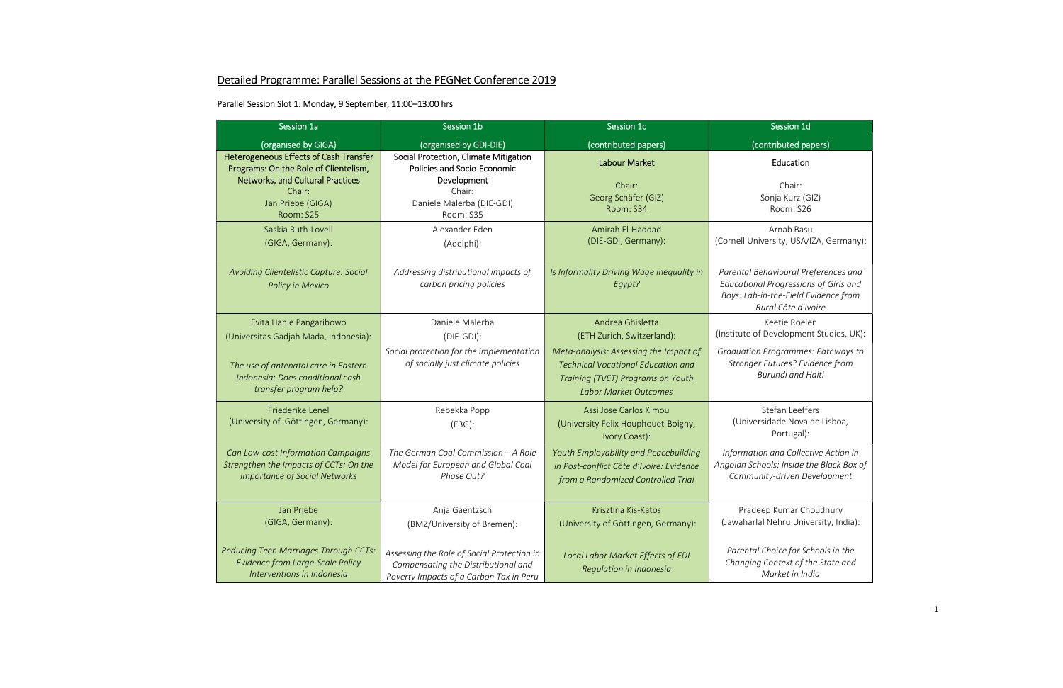# Detailed Programme: Parallel Sessions at the PEGNet Conference 2019

## Parallel Session Slot 1: Monday, 9 September, 11:00–13:00 hrs

| Session 1a                                                                                                           | <b>Session 1b</b>                                                                                                            | Session 1c                                                                                                                                               | Session 1d                                                                                                                                          |
|----------------------------------------------------------------------------------------------------------------------|------------------------------------------------------------------------------------------------------------------------------|----------------------------------------------------------------------------------------------------------------------------------------------------------|-----------------------------------------------------------------------------------------------------------------------------------------------------|
| (organised by GIGA)                                                                                                  | (organised by GDI-DIE)                                                                                                       | (contributed papers)                                                                                                                                     | (contributed papers)                                                                                                                                |
| <b>Heterogeneous Effects of Cash Transfer</b><br>Programs: On the Role of Clientelism,                               | Social Protection, Climate Mitigation<br>Policies and Socio-Economic                                                         | <b>Labour Market</b>                                                                                                                                     | Education                                                                                                                                           |
| <b>Networks, and Cultural Practices</b><br>Chair:<br>Jan Priebe (GIGA)<br>Room: S25                                  | Development<br>Chair:<br>Daniele Malerba (DIE-GDI)<br>Room: S35                                                              | Chair:<br>Georg Schäfer (GIZ)<br>Room: S34                                                                                                               | Chair:<br>Sonja Kurz (GIZ)<br>Room: S26                                                                                                             |
| Saskia Ruth-Lovell<br>(GIGA, Germany):                                                                               | Alexander Eden<br>(Adelphi):                                                                                                 | Amirah El-Haddad<br>(DIE-GDI, Germany):                                                                                                                  | Arnab Basu<br>(Cornell University, USA/IZA, Germany):                                                                                               |
| Avoiding Clientelistic Capture: Social<br>Policy in Mexico                                                           | Addressing distributional impacts of<br>carbon pricing policies                                                              | Is Informality Driving Wage Inequality in<br>Egypt?                                                                                                      | Parental Behavioural Preferences and<br><b>Educational Progressions of Girls and</b><br>Boys: Lab-in-the-Field Evidence from<br>Rural Côte d'Ivoire |
| Evita Hanie Pangaribowo<br>(Universitas Gadjah Mada, Indonesia):                                                     | Daniele Malerba<br>$(DIE-GDI)$ :                                                                                             | Andrea Ghisletta<br>(ETH Zurich, Switzerland):                                                                                                           | Keetie Roelen<br>(Institute of Development Studies, UK):                                                                                            |
| The use of antenatal care in Eastern<br>Indonesia: Does conditional cash<br>transfer program help?                   | Social protection for the implementation<br>of socially just climate policies                                                | Meta-analysis: Assessing the Impact of<br><b>Technical Vocational Education and</b><br>Training (TVET) Programs on Youth<br><b>Labor Market Outcomes</b> | Graduation Programmes: Pathways to<br>Stronger Futures? Evidence from<br><b>Burundi and Haiti</b>                                                   |
| Friederike Lenel<br>(University of Göttingen, Germany):                                                              | Rebekka Popp<br>(E3G):                                                                                                       | Assi Jose Carlos Kimou<br>(University Felix Houphouet-Boigny,<br>Ivory Coast):                                                                           | Stefan Leeffers<br>(Universidade Nova de Lisboa,<br>Portugal):                                                                                      |
| Can Low-cost Information Campaigns<br>Strengthen the Impacts of CCTs: On the<br><b>Importance of Social Networks</b> | The German Coal Commission $-A$ Role<br>Model for European and Global Coal<br>Phase Out?                                     | Youth Employability and Peacebuilding<br>in Post-conflict Côte d'Ivoire: Evidence<br>from a Randomized Controlled Trial                                  | Information and Collective Action in<br>Angolan Schools: Inside the Black Box of<br>Community-driven Development                                    |
| Jan Priebe<br>(GIGA, Germany):                                                                                       | Anja Gaentzsch<br>(BMZ/University of Bremen):                                                                                | Krisztina Kis-Katos<br>(University of Göttingen, Germany):                                                                                               | Pradeep Kumar Choudhury<br>(Jawaharlal Nehru University, India):                                                                                    |
| Reducing Teen Marriages Through CCTs:<br>Evidence from Large-Scale Policy<br>Interventions in Indonesia              | Assessing the Role of Social Protection in<br>Compensating the Distributional and<br>Poverty Impacts of a Carbon Tax in Peru | Local Labor Market Effects of FDI<br>Regulation in Indonesia                                                                                             | Parental Choice for Schools in the<br>Changing Context of the State and<br>Market in India                                                          |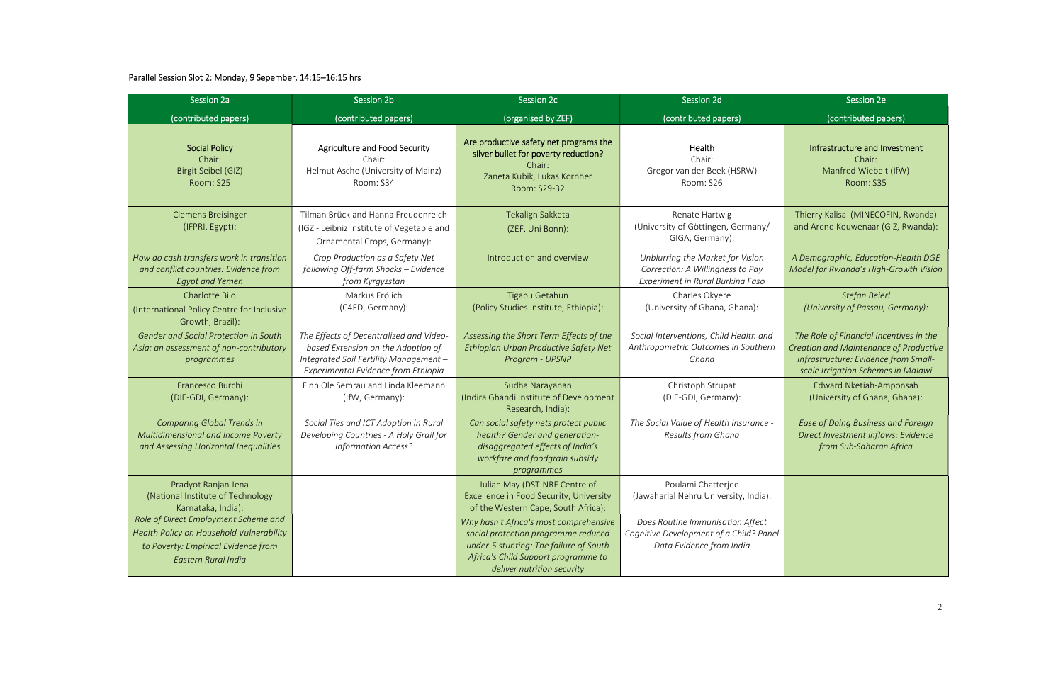#### Parallel Session Slot 2: Monday, 9 Sepember, 14:15–16:15 hrs

| <b>Session 2a</b>                                                                                                                              | <b>Session 2b</b>                                                                                                                                              | <b>Session 2c</b>                                                                                                                                                                            | <b>Session 2d</b>                                                                                        | <b>Session 2e</b>                                                                                                                                               |
|------------------------------------------------------------------------------------------------------------------------------------------------|----------------------------------------------------------------------------------------------------------------------------------------------------------------|----------------------------------------------------------------------------------------------------------------------------------------------------------------------------------------------|----------------------------------------------------------------------------------------------------------|-----------------------------------------------------------------------------------------------------------------------------------------------------------------|
| (contributed papers)                                                                                                                           | (contributed papers)                                                                                                                                           | (organised by ZEF)                                                                                                                                                                           | (contributed papers)                                                                                     | (contributed papers)                                                                                                                                            |
| <b>Social Policy</b><br>Chair:<br>Birgit Seibel (GIZ)<br>Room: S25                                                                             | <b>Agriculture and Food Security</b><br>Chair:<br>Helmut Asche (University of Mainz)<br>Room: S34                                                              | Are productive safety net programs the<br>silver bullet for poverty reduction?<br>Chair:<br>Zaneta Kubik, Lukas Kornher<br>Room: S29-32                                                      | Health<br>Chair:<br>Gregor van der Beek (HSRW)<br>Room: S26                                              | Infrastructure and Investment<br>Chair:<br>Manfred Wiebelt (IfW)<br>Room: S35                                                                                   |
| <b>Clemens Breisinger</b><br>(IFPRI, Egypt):                                                                                                   | Tilman Brück and Hanna Freudenreich<br>(IGZ - Leibniz Institute of Vegetable and<br>Ornamental Crops, Germany):                                                | Tekalign Sakketa<br>(ZEF, Uni Bonn):                                                                                                                                                         | Renate Hartwig<br>(University of Göttingen, Germany/<br>GIGA, Germany):                                  | Thierry Kalisa (MINECOFIN, Rwanda)<br>and Arend Kouwenaar (GIZ, Rwanda):                                                                                        |
| How do cash transfers work in transition<br>and conflict countries: Evidence from<br><b>Egypt and Yemen</b>                                    | Crop Production as a Safety Net<br>following Off-farm Shocks - Evidence<br>from Kyrgyzstan                                                                     | Introduction and overview                                                                                                                                                                    | Unblurring the Market for Vision<br>Correction: A Willingness to Pay<br>Experiment in Rural Burkina Faso | A Demographic, Education-Health DGE<br>Model for Rwanda's High-Growth Vision                                                                                    |
| Charlotte Bilo<br>(International Policy Centre for Inclusive<br>Growth, Brazil):                                                               | Markus Frölich<br>(C4ED, Germany):                                                                                                                             | Tigabu Getahun<br>(Policy Studies Institute, Ethiopia):                                                                                                                                      | Charles Okyere<br>(University of Ghana, Ghana):                                                          | <b>Stefan Beierl</b><br>(University of Passau, Germany):                                                                                                        |
| Gender and Social Protection in South<br>Asia: an assessment of non-contributory<br>programmes                                                 | The Effects of Decentralized and Video-<br>based Extension on the Adoption of<br>Integrated Soil Fertility Management -<br>Experimental Evidence from Ethiopia | Assessing the Short Term Effects of the<br>Ethiopian Urban Productive Safety Net<br>Program - UPSNP                                                                                          | Social Interventions, Child Health and<br>Anthropometric Outcomes in Southern<br>Ghana                   | The Role of Financial Incentives in the<br>Creation and Maintenance of Productive<br>Infrastructure: Evidence from Small-<br>scale Irrigation Schemes in Malawi |
| Francesco Burchi<br>(DIE-GDI, Germany):                                                                                                        | Finn Ole Semrau and Linda Kleemann<br>(IfW, Germany):                                                                                                          | Sudha Narayanan<br>(Indira Ghandi Institute of Development<br>Research, India):                                                                                                              | Christoph Strupat<br>(DIE-GDI, Germany):                                                                 | Edward Nketiah-Amponsah<br>(University of Ghana, Ghana):                                                                                                        |
| <b>Comparing Global Trends in</b><br>Multidimensional and Income Poverty<br>and Assessing Horizontal Inequalities                              | Social Ties and ICT Adoption in Rural<br>Developing Countries - A Holy Grail for<br><b>Information Access?</b>                                                 | Can social safety nets protect public<br>health? Gender and generation-<br>disaggregated effects of India's<br>workfare and foodgrain subsidy<br>programmes                                  | The Social Value of Health Insurance -<br>Results from Ghana                                             | <b>Ease of Doing Business and Foreign</b><br>Direct Investment Inflows: Evidence<br>from Sub-Saharan Africa                                                     |
| Pradyot Ranjan Jena<br>(National Institute of Technology<br>Karnataka, India):                                                                 |                                                                                                                                                                | Julian May (DST-NRF Centre of<br>Excellence in Food Security, University<br>of the Western Cape, South Africa):                                                                              | Poulami Chatterjee<br>(Jawaharlal Nehru University, India):                                              |                                                                                                                                                                 |
| Role of Direct Employment Scheme and<br>Health Policy on Household Vulnerability<br>to Poverty: Empirical Evidence from<br>Eastern Rural India |                                                                                                                                                                | Why hasn't Africa's most comprehensive<br>social protection programme reduced<br>under-5 stunting: The failure of South<br>Africa's Child Support programme to<br>deliver nutrition security | Does Routine Immunisation Affect<br>Cognitive Development of a Child? Panel<br>Data Evidence from India  |                                                                                                                                                                 |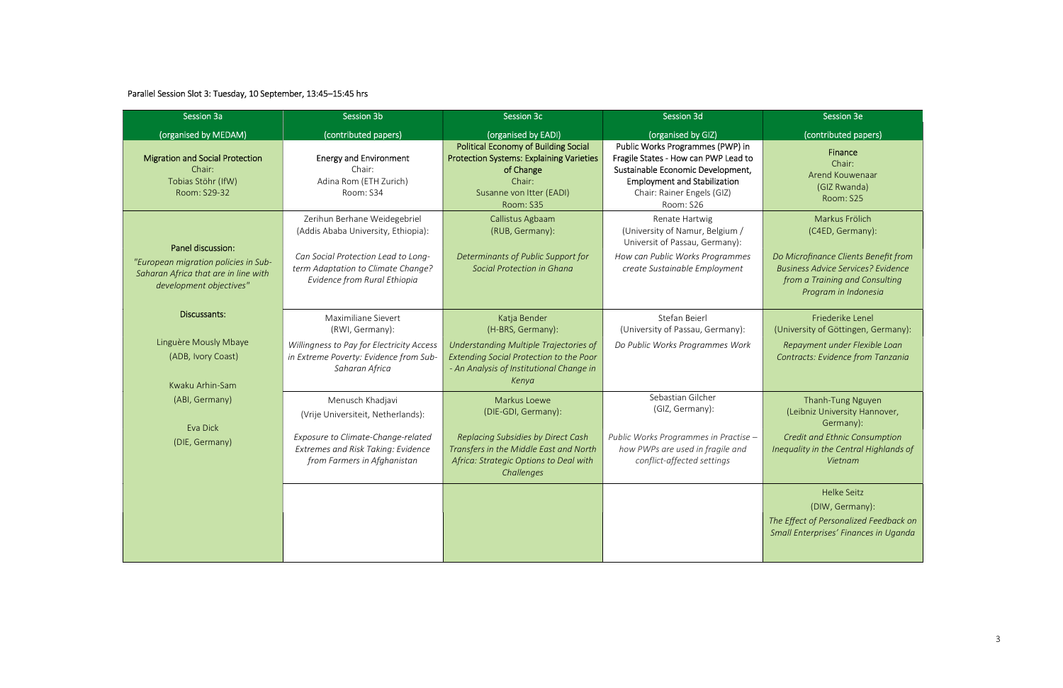# Parallel Session Slot 3: Tuesday, 10 September, 13:45–15:45 hrs

| <b>Session 3a</b>                                                                                                            | <b>Session 3b</b>                                                                                                                                                                | <b>Session 3c</b>                                                                                                                                                                  | <b>Session 3d</b>                                                                                                                                                                               | <b>Session 3e</b>                                                                                                                                                                 |
|------------------------------------------------------------------------------------------------------------------------------|----------------------------------------------------------------------------------------------------------------------------------------------------------------------------------|------------------------------------------------------------------------------------------------------------------------------------------------------------------------------------|-------------------------------------------------------------------------------------------------------------------------------------------------------------------------------------------------|-----------------------------------------------------------------------------------------------------------------------------------------------------------------------------------|
| (organised by MEDAM)                                                                                                         | (contributed papers)                                                                                                                                                             | (organised by EADI)                                                                                                                                                                | (organised by GIZ)                                                                                                                                                                              | (contributed papers)                                                                                                                                                              |
| <b>Migration and Social Protection</b><br>Chair:<br>Tobias Stöhr (IfW)<br>Room: S29-32                                       | <b>Energy and Environment</b><br>Chair:<br>Adina Rom (ETH Zurich)<br>Room: S34                                                                                                   | <b>Political Economy of Building Social</b><br><b>Protection Systems: Explaining Varieties</b><br>of Change<br>Chair:<br>Susanne von Itter (EADI)<br>Room: S35                     | Public Works Programmes (PWP) in<br>Fragile States - How can PWP Lead to<br>Sustainable Economic Development,<br><b>Employment and Stabilization</b><br>Chair: Rainer Engels (GIZ)<br>Room: S26 | Finance<br>Chair:<br>Arend Kouwenaar<br>(GIZ Rwanda)<br>Room: S25                                                                                                                 |
| Panel discussion:<br>"European migration policies in Sub-<br>Saharan Africa that are in line with<br>development objectives" | Zerihun Berhane Weidegebriel<br>(Addis Ababa University, Ethiopia):<br>Can Social Protection Lead to Long-<br>term Adaptation to Climate Change?<br>Evidence from Rural Ethiopia | Callistus Agbaam<br>(RUB, Germany):<br>Determinants of Public Support for<br>Social Protection in Ghana                                                                            | Renate Hartwig<br>(University of Namur, Belgium /<br>Universit of Passau, Germany):<br>How can Public Works Programmes<br>create Sustainable Employment                                         | Markus Frölich<br>(C4ED, Germany):<br>Do Microfinance Clients Benefit from<br><b>Business Advice Services? Evidence</b><br>from a Training and Consulting<br>Program in Indonesia |
| Discussants:<br>Linguère Mously Mbaye<br>(ADB, Ivory Coast)<br>Kwaku Arhin-Sam                                               | Maximiliane Sievert<br>(RWI, Germany):<br>Willingness to Pay for Electricity Access<br>in Extreme Poverty: Evidence from Sub-<br>Saharan Africa                                  | Katja Bender<br>(H-BRS, Germany):<br>Understanding Multiple Trajectories of<br><b>Extending Social Protection to the Poor</b><br>- An Analysis of Institutional Change in<br>Kenya | Stefan Beierl<br>(University of Passau, Germany):<br>Do Public Works Programmes Work                                                                                                            | Friederike Lenel<br>(University of Göttingen, Germany):<br>Repayment under Flexible Loan<br>Contracts: Evidence from Tanzania                                                     |
| (ABI, Germany)<br>Eva Dick<br>(DIE, Germany)                                                                                 | Menusch Khadjavi<br>(Vrije Universiteit, Netherlands):<br>Exposure to Climate-Change-related<br>Extremes and Risk Taking: Evidence<br>from Farmers in Afghanistan                | Markus Loewe<br>(DIE-GDI, Germany):<br>Replacing Subsidies by Direct Cash<br>Transfers in the Middle East and North<br>Africa: Strategic Options to Deal with<br>Challenges        | Sebastian Gilcher<br>(GIZ, Germany):<br>Public Works Programmes in Practise -<br>how PWPs are used in fragile and<br>conflict-affected settings                                                 | Thanh-Tung Nguyen<br>(Leibniz University Hannover,<br>Germany):<br><b>Credit and Ethnic Consumption</b><br>Inequality in the Central Highlands of<br>Vietnam                      |
|                                                                                                                              |                                                                                                                                                                                  |                                                                                                                                                                                    |                                                                                                                                                                                                 | <b>Helke Seitz</b><br>(DIW, Germany):<br>The Effect of Personalized Feedback on<br>Small Enterprises' Finances in Uganda                                                          |

<sup>3</sup>